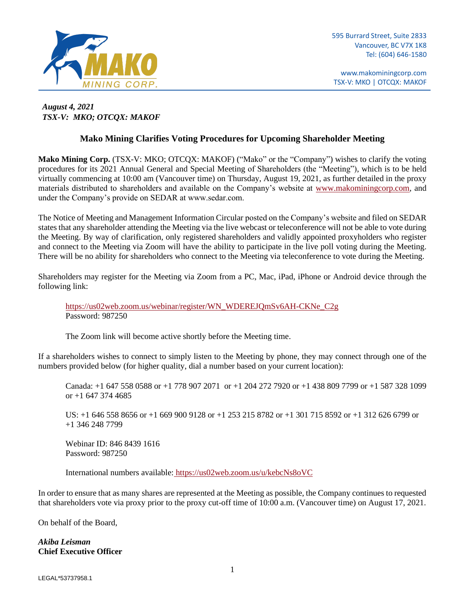

www.makominingcorp.com TSX-V: MKO | OTCQX: MAKOF

## *August 4, 2021 TSX-V: MKO; OTCQX: MAKOF*

## **Mako Mining Clarifies Voting Procedures for Upcoming Shareholder Meeting**

**Mako Mining Corp.** (TSX-V: MKO; OTCQX: MAKOF) ("Mako" or the "Company") wishes to clarify the voting procedures for its 2021 Annual General and Special Meeting of Shareholders (the "Meeting"), which is to be held virtually commencing at 10:00 am (Vancouver time) on Thursday, August 19, 2021, as further detailed in the proxy materials distributed to shareholders and available on the Company's website at [www.makominingcorp.com,](http://www.makominingcorp.com/) and under the Company's provide on SEDAR at www.sedar.com.

The Notice of Meeting and Management Information Circular posted on the Company's website and filed on SEDAR states that any shareholder attending the Meeting via the live webcast or teleconference will not be able to vote during the Meeting. By way of clarification, only registered shareholders and validly appointed proxyholders who register and connect to the Meeting via Zoom will have the ability to participate in the live poll voting during the Meeting. There will be no ability for shareholders who connect to the Meeting via teleconference to vote during the Meeting.

Shareholders may register for the Meeting via Zoom from a PC, Mac, iPad, iPhone or Android device through the following link:

[https://us02web.zoom.us/webinar/register/WN\\_WDEREJQmSv6AH-CKNe\\_C2g](https://us02web.zoom.us/webinar/register/WN_WDEREJQmSv6AH-CKNe_C2g) Password: 987250

The Zoom link will become active shortly before the Meeting time.

If a shareholders wishes to connect to simply listen to the Meeting by phone, they may connect through one of the numbers provided below (for higher quality, dial a number based on your current location):

Canada: +1 647 558 0588 or +1 778 907 2071 or +1 204 272 7920 or +1 438 809 7799 or +1 587 328 1099 or +1 647 374 4685

US: +1 646 558 8656 or +1 669 900 9128 or +1 253 215 8782 or +1 301 715 8592 or +1 312 626 6799 or +1 346 248 7799

 Webinar ID: 846 8439 1616 Password: 987250

International numbers available: <https://us02web.zoom.us/u/kebcNs8oVC>

In order to ensure that as many shares are represented at the Meeting as possible, the Company continues to requested that shareholders vote via proxy prior to the proxy cut-off time of 10:00 a.m. (Vancouver time) on August 17, 2021.

On behalf of the Board,

*Akiba Leisman* **Chief Executive Officer**